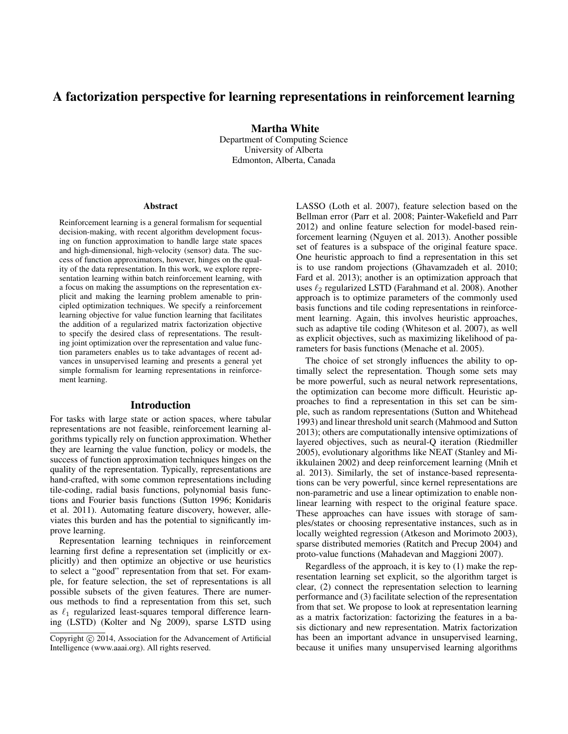# A factorization perspective for learning representations in reinforcement learning

Martha White

Department of Computing Science University of Alberta Edmonton, Alberta, Canada

#### Abstract

Reinforcement learning is a general formalism for sequential decision-making, with recent algorithm development focusing on function approximation to handle large state spaces and high-dimensional, high-velocity (sensor) data. The success of function approximators, however, hinges on the quality of the data representation. In this work, we explore representation learning within batch reinforcement learning, with a focus on making the assumptions on the representation explicit and making the learning problem amenable to principled optimization techniques. We specify a reinforcement learning objective for value function learning that facilitates the addition of a regularized matrix factorization objective to specify the desired class of representations. The resulting joint optimization over the representation and value function parameters enables us to take advantages of recent advances in unsupervised learning and presents a general yet simple formalism for learning representations in reinforcement learning.

### Introduction

For tasks with large state or action spaces, where tabular representations are not feasible, reinforcement learning algorithms typically rely on function approximation. Whether they are learning the value function, policy or models, the success of function approximation techniques hinges on the quality of the representation. Typically, representations are hand-crafted, with some common representations including tile-coding, radial basis functions, polynomial basis functions and Fourier basis functions (Sutton 1996; Konidaris et al. 2011). Automating feature discovery, however, alleviates this burden and has the potential to significantly improve learning.

Representation learning techniques in reinforcement learning first define a representation set (implicitly or explicitly) and then optimize an objective or use heuristics to select a "good" representation from that set. For example, for feature selection, the set of representations is all possible subsets of the given features. There are numerous methods to find a representation from this set, such as  $\ell_1$  regularized least-squares temporal difference learning (LSTD) (Kolter and Ng 2009), sparse LSTD using

LASSO (Loth et al. 2007), feature selection based on the Bellman error (Parr et al. 2008; Painter-Wakefield and Parr 2012) and online feature selection for model-based reinforcement learning (Nguyen et al. 2013). Another possible set of features is a subspace of the original feature space. One heuristic approach to find a representation in this set is to use random projections (Ghavamzadeh et al. 2010; Fard et al. 2013); another is an optimization approach that uses  $\ell_2$  regularized LSTD (Farahmand et al. 2008). Another approach is to optimize parameters of the commonly used basis functions and tile coding representations in reinforcement learning. Again, this involves heuristic approaches, such as adaptive tile coding (Whiteson et al. 2007), as well as explicit objectives, such as maximizing likelihood of parameters for basis functions (Menache et al. 2005).

The choice of set strongly influences the ability to optimally select the representation. Though some sets may be more powerful, such as neural network representations, the optimization can become more difficult. Heuristic approaches to find a representation in this set can be simple, such as random representations (Sutton and Whitehead 1993) and linear threshold unit search (Mahmood and Sutton 2013); others are computationally intensive optimizations of layered objectives, such as neural-Q iteration (Riedmiller 2005), evolutionary algorithms like NEAT (Stanley and Miikkulainen 2002) and deep reinforcement learning (Mnih et al. 2013). Similarly, the set of instance-based representations can be very powerful, since kernel representations are non-parametric and use a linear optimization to enable nonlinear learning with respect to the original feature space. These approaches can have issues with storage of samples/states or choosing representative instances, such as in locally weighted regression (Atkeson and Morimoto 2003), sparse distributed memories (Ratitch and Precup 2004) and proto-value functions (Mahadevan and Maggioni 2007).

Regardless of the approach, it is key to (1) make the representation learning set explicit, so the algorithm target is clear, (2) connect the representation selection to learning performance and (3) facilitate selection of the representation from that set. We propose to look at representation learning as a matrix factorization: factorizing the features in a basis dictionary and new representation. Matrix factorization has been an important advance in unsupervised learning, because it unifies many unsupervised learning algorithms

Copyright  $\odot$  2014, Association for the Advancement of Artificial Intelligence (www.aaai.org). All rights reserved.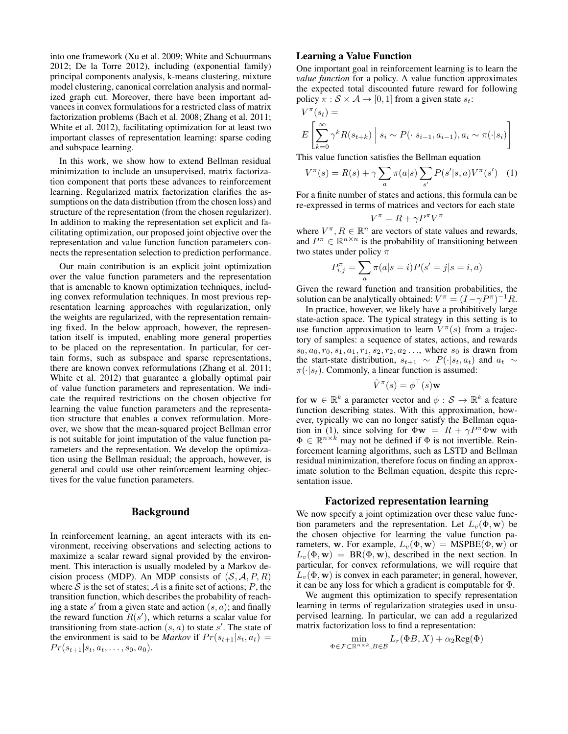into one framework (Xu et al. 2009; White and Schuurmans 2012; De la Torre 2012), including (exponential family) principal components analysis, k-means clustering, mixture model clustering, canonical correlation analysis and normalized graph cut. Moreover, there have been important advances in convex formulations for a restricted class of matrix factorization problems (Bach et al. 2008; Zhang et al. 2011; White et al. 2012), facilitating optimization for at least two important classes of representation learning: sparse coding and subspace learning.

In this work, we show how to extend Bellman residual minimization to include an unsupervised, matrix factorization component that ports these advances to reinforcement learning. Regularized matrix factorization clarifies the assumptions on the data distribution (from the chosen loss) and structure of the representation (from the chosen regularizer). In addition to making the representation set explicit and facilitating optimization, our proposed joint objective over the representation and value function function parameters connects the representation selection to prediction performance.

Our main contribution is an explicit joint optimization over the value function parameters and the representation that is amenable to known optimization techniques, including convex reformulation techniques. In most previous representation learning approaches with regularization, only the weights are regularized, with the representation remaining fixed. In the below approach, however, the representation itself is imputed, enabling more general properties to be placed on the representation. In particular, for certain forms, such as subspace and sparse representations, there are known convex reformulations (Zhang et al. 2011; White et al. 2012) that guarantee a globally optimal pair of value function parameters and representation. We indicate the required restrictions on the chosen objective for learning the value function parameters and the representation structure that enables a convex reformulation. Moreover, we show that the mean-squared project Bellman error is not suitable for joint imputation of the value function parameters and the representation. We develop the optimization using the Bellman residual; the approach, however, is general and could use other reinforcement learning objectives for the value function parameters.

#### Background

In reinforcement learning, an agent interacts with its environment, receiving observations and selecting actions to maximize a scalar reward signal provided by the environment. This interaction is usually modeled by a Markov decision process (MDP). An MDP consists of  $(S, A, P, R)$ where  $S$  is the set of states;  $A$  is a finite set of actions;  $P$ , the transition function, which describes the probability of reaching a state  $s'$  from a given state and action  $(s, a)$ ; and finally the reward function  $R(s')$ , which returns a scalar value for transitioning from state-action  $(s, a)$  to state s'. The state of the environment is said to be *Markov* if  $Pr(s_{t+1}|s_t, a_t)$  =  $Pr(s_{t+1}|s_t, a_t, \ldots, s_0, a_0).$ 

### Learning a Value Function

One important goal in reinforcement learning is to learn the *value function* for a policy. A value function approximates the expected total discounted future reward for following policy  $\pi : \mathcal{S} \times \mathcal{A} \rightarrow [0, 1]$  from a given state  $s_t$ :

$$
V^{\pi}(s_t) =
$$
  

$$
E\left[\sum_{k=0}^{\infty} \gamma^k R(s_{t+k}) \mid s_i \sim P(\cdot | s_{i-1}, a_{i-1}), a_i \sim \pi(\cdot | s_i)\right]
$$

This value function satisfies the Bellman equation

$$
V^{\pi}(s) = R(s) + \gamma \sum_{a} \pi(a|s) \sum_{s'} P(s'|s, a) V^{\pi}(s')
$$
 (1)

For a finite number of states and actions, this formula can be re-expressed in terms of matrices and vectors for each state

$$
V^{\pi} = R + \gamma P^{\pi} V^{\pi}
$$

where  $V^{\pi}, R \in \mathbb{R}^{n}$  are vectors of state values and rewards, and  $P^{\pi} \in \mathbb{R}^{n \times n}$  is the probability of transitioning between two states under policy  $\pi$ 

$$
P^{\pi}_{i,j} = \sum_{a} \pi(a|s=i) P(s'=j|s=i,a)
$$

Given the reward function and transition probabilities, the solution can be analytically obtained:  $V^{\pi} = (I - \gamma P^{\pi})^{-1}R$ .

In practice, however, we likely have a prohibitively large state-action space. The typical strategy in this setting is to use function approximation to learn  $V^{\pi}(s)$  from a trajectory of samples: a sequence of states, actions, and rewards  $s_0, a_0, r_0, s_1, a_1, r_1, s_2, r_2, a_2 \dots$ , where  $s_0$  is drawn from the start-state distribution,  $s_{t+1} \sim P(\cdot|s_t, a_t)$  and  $a_t \sim$  $\pi(\cdot|s_t)$ . Commonly, a linear function is assumed:

$$
\hat{V}^{\pi}(s) = \phi^{\top}(s) \mathbf{w}
$$

for  $\mathbf{w} \in \mathbb{R}^k$  a parameter vector and  $\phi : \mathcal{S} \to \mathbb{R}^k$  a feature function describing states. With this approximation, however, typically we can no longer satisfy the Bellman equation in (1), since solving for  $\Phi \mathbf{w} = R + \gamma P^{\pi} \Phi \mathbf{w}$  with  $\Phi \in \mathbb{R}^{n \times k}$  may not be defined if  $\Phi$  is not invertible. Reinforcement learning algorithms, such as LSTD and Bellman residual minimization, therefore focus on finding an approximate solution to the Bellman equation, despite this representation issue.

#### Factorized representation learning

We now specify a joint optimization over these value function parameters and the representation. Let  $L_v(\Phi, \mathbf{w})$  be the chosen objective for learning the value function parameters, w. For example,  $L_v(\Phi, \mathbf{w}) = \text{MSPBE}(\Phi, \mathbf{w})$  or  $L_v(\Phi, \mathbf{w}) = BR(\Phi, \mathbf{w})$ , described in the next section. In particular, for convex reformulations, we will require that  $L_v(\Phi, \mathbf{w})$  is convex in each parameter; in general, however, it can be any loss for which a gradient is computable for Φ.

We augment this optimization to specify representation learning in terms of regularization strategies used in unsupervised learning. In particular, we can add a regularized matrix factorization loss to find a representation:

$$
\min_{\Phi \in \mathcal{F} \subset \mathbb{R}^{n \times k}, B \in \mathcal{B}} L_r(\Phi B, X) + \alpha_2 \text{Reg}(\Phi)
$$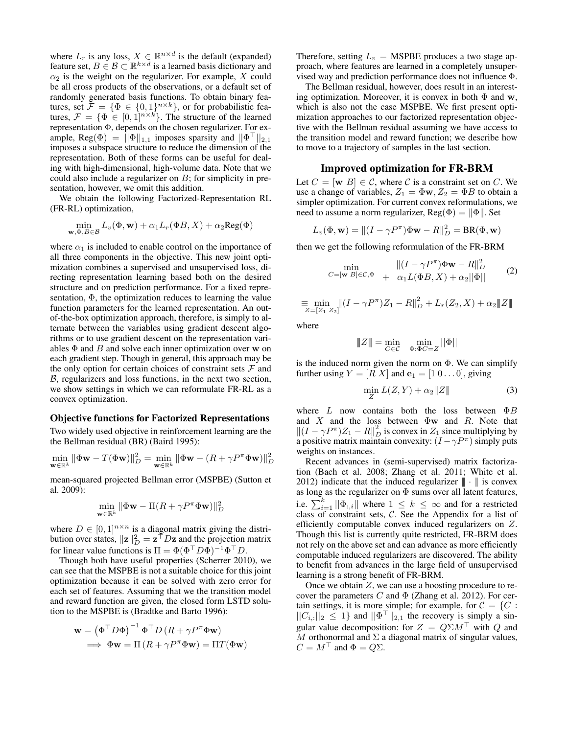where  $L_r$  is any loss,  $X \in \mathbb{R}^{n \times d}$  is the default (expanded) feature set,  $B \in \mathcal{B} \subset \mathbb{R}^{k \times d}$  is a learned basis dictionary and  $\alpha_2$  is the weight on the regularizer. For example, X could be all cross products of the observations, or a default set of randomly generated basis functions. To obtain binary features, set  $\mathcal{F} = \{ \Phi \in \{0,1\}^{n \times k} \}$ , or for probabilistic features,  $\mathcal{F} = {\Phi \in [0,1]^{n \times k}}$ . The structure of the learned representation Φ, depends on the chosen regularizer. For example, Reg( $\Phi$ ) =  $\|\Phi\|_{1,1}$  imposes sparsity and  $\|\Phi^{\top}\|_{2,1}$ imposes a subspace structure to reduce the dimension of the representation. Both of these forms can be useful for dealing with high-dimensional, high-volume data. Note that we could also include a regularizer on  $B$ ; for simplicity in presentation, however, we omit this addition.

We obtain the following Factorized-Representation RL (FR-RL) optimization,

$$
\min_{\mathbf{w}, \Phi, B \in \mathcal{B}} L_v(\Phi, \mathbf{w}) + \alpha_1 L_r(\Phi B, X) + \alpha_2 \text{Reg}(\Phi)
$$

where  $\alpha_1$  is included to enable control on the importance of all three components in the objective. This new joint optimization combines a supervised and unsupervised loss, directing representation learning based both on the desired structure and on prediction performance. For a fixed representation,  $\Phi$ , the optimization reduces to learning the value function parameters for the learned representation. An outof-the-box optimization approach, therefore, is simply to alternate between the variables using gradient descent algorithms or to use gradient descent on the representation variables  $\Phi$  and  $B$  and solve each inner optimization over w on each gradient step. Though in general, this approach may be the only option for certain choices of constraint sets  $\mathcal F$  and B, regularizers and loss functions, in the next two section, we show settings in which we can reformulate FR-RL as a convex optimization.

#### Objective functions for Factorized Representations

Two widely used objective in reinforcement learning are the the Bellman residual (BR) (Baird 1995):

$$
\min_{\mathbf{w}\in\mathbb{R}^k} \|\Phi\mathbf{w} - T(\Phi\mathbf{w})\|_D^2 = \min_{\mathbf{w}\in\mathbb{R}^k} \|\Phi\mathbf{w} - (R + \gamma P^{\pi} \Phi \mathbf{w})\|_D^2
$$

mean-squared projected Bellman error (MSPBE) (Sutton et al. 2009):

$$
\min_{\mathbf{w}\in\mathbb{R}^k} \|\Phi\mathbf{w} - \Pi(R + \gamma P^{\pi} \Phi \mathbf{w})\|_D^2
$$

where  $D \in [0, 1]^{n \times n}$  is a diagonal matrix giving the distribution over states,  $||\mathbf{z}||_D^2 = \mathbf{z}^\top D\mathbf{z}$  and the projection matrix for linear value functions is  $\Pi = \Phi(\Phi^{\top} D \Phi)^{-1} \Phi^{\top} D$ .

Though both have useful properties (Scherrer 2010), we can see that the MSPBE is not a suitable choice for this joint optimization because it can be solved with zero error for each set of features. Assuming that we the transition model and reward function are given, the closed form LSTD solution to the MSPBE is (Bradtke and Barto 1996):

$$
\mathbf{w} = (\Phi^{\top} D \Phi)^{-1} \Phi^{\top} D (R + \gamma P^{\pi} \Phi \mathbf{w})
$$
  
\n
$$
\implies \Phi \mathbf{w} = \Pi (R + \gamma P^{\pi} \Phi \mathbf{w}) = \Pi T (\Phi \mathbf{w})
$$

Therefore, setting  $L_v = \text{MSPBE}$  produces a two stage approach, where features are learned in a completely unsupervised way and prediction performance does not influence Φ.

The Bellman residual, however, does result in an interesting optimization. Moreover, it is convex in both  $\Phi$  and w, which is also not the case MSPBE. We first present optimization approaches to our factorized representation objective with the Bellman residual assuming we have access to the transition model and reward function; we describe how to move to a trajectory of samples in the last section.

### Improved optimization for FR-BRM

Let  $C = [\mathbf{w} \ B] \in \mathcal{C}$ , where  $\mathcal{C}$  is a constraint set on C. We use a change of variables,  $Z_1 = \Phi \mathbf{w}, Z_2 = \Phi B$  to obtain a simpler optimization. For current convex reformulations, we need to assume a norm regularizer,  $\text{Reg}(\Phi) = ||\Phi||$ . Set

$$
L_v(\Phi, \mathbf{w}) = ||(I - \gamma P^{\pi})\Phi \mathbf{w} - R||_D^2 = \mathbf{BR}(\Phi, \mathbf{w})
$$

then we get the following reformulation of the FR-BRM

$$
\min_{C = [\mathbf{w} \ B] \in \mathcal{C}, \Phi} \quad \frac{\| (I - \gamma P^{\pi}) \Phi \mathbf{w} - R \|_{D}^{2}}{\alpha_{1} L(\Phi B, X) + \alpha_{2} ||\Phi||}
$$
(2)

$$
\equiv \min_{Z=[Z_1\ Z_2]} \|(I-\gamma P^{\pi})Z_1 - R\|_D^2 + L_r(Z_2, X) + \alpha_2 \|Z\|
$$

where

$$
||Z|| = \min_{C \in \mathcal{C}} \min_{\Phi: \Phi C = Z} ||\Phi||
$$

is the induced norm given the norm on  $\Phi$ . We can simplify further using  $Y = [R \ X]$  and  $e_1 = [1 \ 0 \dots 0]$ , giving

$$
\min_{Z} L(Z, Y) + \alpha_2 \|Z\| \tag{3}
$$

where  $L$  now contains both the loss between  $\Phi B$ and  $X$  and the loss between  $\Phi$ w and  $R$ . Note that  $||(I - \gamma P^{\pi})Z_1 - R||_D^2$  is convex in  $Z_1$  since multiplying by a positive matrix maintain convexity:  $(I - \gamma P^{\pi})$  simply puts weights on instances.

Recent advances in (semi-supervised) matrix factorization (Bach et al. 2008; Zhang et al. 2011; White et al. 2012) indicate that the induced regularizer  $\|\cdot\|$  is convex as long as the regularizer on  $\Phi$  sums over all latent features, i.e.  $\sum_{i=1}^{k} ||\Phi_{:,i}||$  where  $1 \leq k \leq \infty$  and for a restricted class of constraint sets, C. See the Appendix for a list of efficiently computable convex induced regularizers on Z. Though this list is currently quite restricted, FR-BRM does not rely on the above set and can advance as more efficiently computable induced regularizers are discovered. The ability to benefit from advances in the large field of unsupervised learning is a strong benefit of FR-BRM.

Once we obtain  $Z$ , we can use a boosting procedure to recover the parameters  $C$  and  $\Phi$  (Zhang et al. 2012). For certain settings, it is more simple; for example, for  $C = \{C :$  $||C_{i,:}||_2 \leq 1$  and  $||\Phi^{\top}||_{2,1}$  the recovery is simply a singular value decomposition: for  $Z = Q\Sigma M^{\top}$  with Q and M orthonormal and  $\Sigma$  a diagonal matrix of singular values,  $C = M^{\top}$  and  $\Phi = Q\Sigma$ .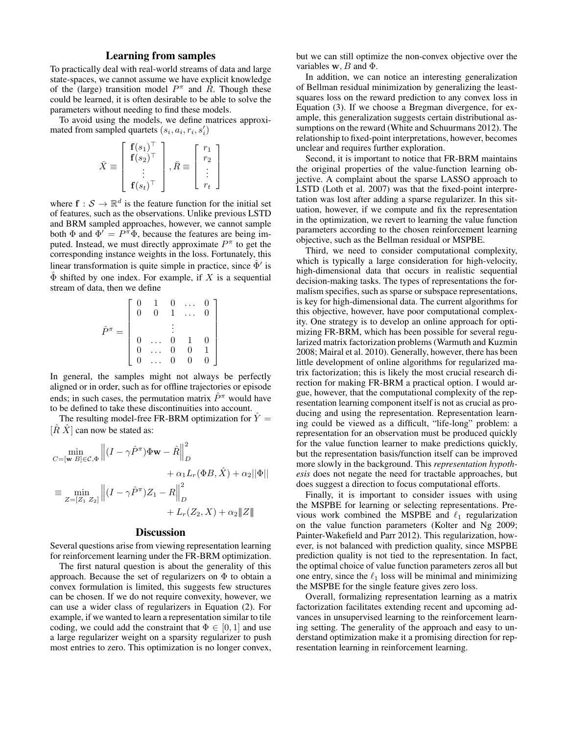### Learning from samples

To practically deal with real-world streams of data and large state-spaces, we cannot assume we have explicit knowledge of the (large) transition model  $P^{\pi}$  and  $\tilde{R}$ . Though these could be learned, it is often desirable to be able to solve the parameters without needing to find these models.

To avoid using the models, we define matrices approximated from sampled quartets  $(s_i, a_i, r_i, s'_i)$ 

$$
\bar{X} \equiv \left[ \begin{array}{c} \mathbf{f}(s_1)^\top \\ \mathbf{f}(s_2)^\top \\ \vdots \\ \mathbf{f}(s_t)^\top \end{array} \right], \bar{R} \equiv \left[ \begin{array}{c} r_1 \\ r_2 \\ \vdots \\ r_t \end{array} \right]
$$

where  $f : \mathcal{S} \to \mathbb{R}^d$  is the feature function for the initial set of features, such as the observations. Unlike previous LSTD and BRM sampled approaches, however, we cannot sample both  $\Phi$  and  $\Phi' = P^{\pi} \Phi$ , because the features are being imputed. Instead, we must directly approximate  $P^{\pi}$  to get the corresponding instance weights in the loss. Fortunately, this linear transformation is quite simple in practice, since  $\hat{\Phi}'$  is  $\hat{\Phi}$  shifted by one index. For example, if X is a sequential stream of data, then we define

$$
\hat{P}^{\pi} = \left[ \begin{array}{ccccc} 0 & 1 & 0 & \dots & 0 \\ 0 & 0 & 1 & \dots & 0 \\ & & \vdots & & \\ 0 & \dots & 0 & 1 & 0 \\ 0 & \dots & 0 & 0 & 1 \\ 0 & \dots & 0 & 0 & 0 \end{array} \right]
$$

In general, the samples might not always be perfectly aligned or in order, such as for offline trajectories or episode ends; in such cases, the permutation matrix  $\hat{P}^{\pi}$  would have to be defined to take these discontinuities into account.

The resulting model-free FR-BRM optimization for  $Y =$  $[\hat{R} \hat{X}]$  can now be stated as:

$$
\min_{C = [\mathbf{w} \ B] \in \mathcal{C}, \Phi} \left\| (I - \gamma \hat{P}^{\pi}) \Phi \mathbf{w} - \hat{R} \right\|_{D}^{2} \n+ \alpha_{1} L_{r}(\Phi B, \hat{X}) + \alpha_{2} ||\Phi|| \n\equiv \min_{Z = [Z_{1} \ Z_{2}]} \left\| (I - \gamma \hat{P}^{\pi}) Z_{1} - R \right\|_{D}^{2} \n+ L_{r}(Z_{2}, X) + \alpha_{2} ||Z||
$$

### **Discussion**

Several questions arise from viewing representation learning for reinforcement learning under the FR-BRM optimization.

The first natural question is about the generality of this approach. Because the set of regularizers on  $\Phi$  to obtain a convex formulation is limited, this suggests few structures can be chosen. If we do not require convexity, however, we can use a wider class of regularizers in Equation (2). For example, if we wanted to learn a representation similar to tile coding, we could add the constraint that  $\Phi \in [0, 1]$  and use a large regularizer weight on a sparsity regularizer to push most entries to zero. This optimization is no longer convex,

but we can still optimize the non-convex objective over the variables  $w$ , B and  $\Phi$ .

In addition, we can notice an interesting generalization of Bellman residual minimization by generalizing the leastsquares loss on the reward prediction to any convex loss in Equation (3). If we choose a Bregman divergence, for example, this generalization suggests certain distributional assumptions on the reward (White and Schuurmans 2012). The relationship to fixed-point interpretations, however, becomes unclear and requires further exploration.

Second, it is important to notice that FR-BRM maintains the original properties of the value-function learning objective. A complaint about the sparse LASSO approach to LSTD (Loth et al. 2007) was that the fixed-point interpretation was lost after adding a sparse regularizer. In this situation, however, if we compute and fix the representation in the optimization, we revert to learning the value function parameters according to the chosen reinforcement learning objective, such as the Bellman residual or MSPBE.

Third, we need to consider computational complexity, which is typically a large consideration for high-velocity, high-dimensional data that occurs in realistic sequential decision-making tasks. The types of representations the formalism specifies, such as sparse or subspace representations, is key for high-dimensional data. The current algorithms for this objective, however, have poor computational complexity. One strategy is to develop an online approach for optimizing FR-BRM, which has been possible for several regularized matrix factorization problems (Warmuth and Kuzmin 2008; Mairal et al. 2010). Generally, however, there has been little development of online algorithms for regularized matrix factorization; this is likely the most crucial research direction for making FR-BRM a practical option. I would argue, however, that the computational complexity of the representation learning component itself is not as crucial as producing and using the representation. Representation learning could be viewed as a difficult, "life-long" problem: a representation for an observation must be produced quickly for the value function learner to make predictions quickly, but the representation basis/function itself can be improved more slowly in the background. This *representation hypothesis* does not negate the need for tractable approaches, but does suggest a direction to focus computational efforts.

Finally, it is important to consider issues with using the MSPBE for learning or selecting representations. Previous work combined the MSPBE and  $\ell_1$  regularization on the value function parameters (Kolter and Ng 2009; Painter-Wakefield and Parr 2012). This regularization, however, is not balanced with prediction quality, since MSPBE prediction quality is not tied to the representation. In fact, the optimal choice of value function parameters zeros all but one entry, since the  $\ell_1$  loss will be minimal and minimizing the MSPBE for the single feature gives zero loss.

Overall, formalizing representation learning as a matrix factorization facilitates extending recent and upcoming advances in unsupervised learning to the reinforcement learning setting. The generality of the approach and easy to understand optimization make it a promising direction for representation learning in reinforcement learning.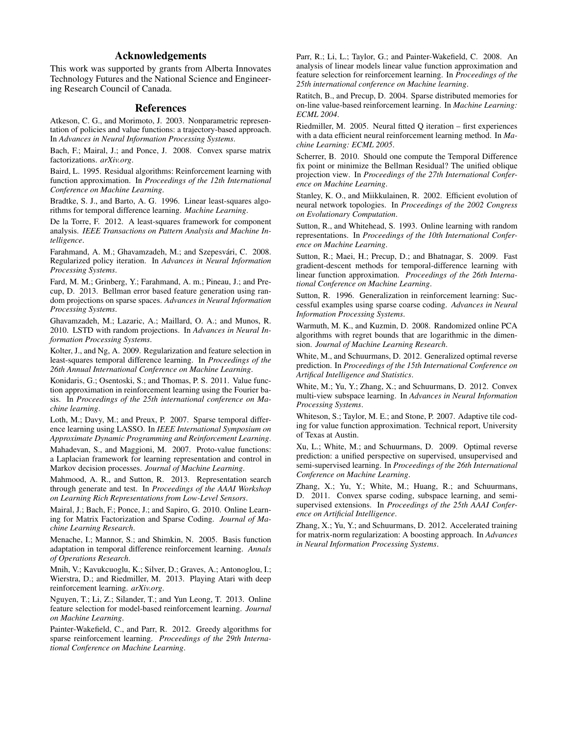## Acknowledgements

This work was supported by grants from Alberta Innovates Technology Futures and the National Science and Engineering Research Council of Canada.

### References

Atkeson, C. G., and Morimoto, J. 2003. Nonparametric representation of policies and value functions: a trajectory-based approach. In *Advances in Neural Information Processing Systems*.

Bach, F.; Mairal, J.; and Ponce, J. 2008. Convex sparse matrix factorizations. *arXiv.org*.

Baird, L. 1995. Residual algorithms: Reinforcement learning with function approximation. In *Proceedings of the 12th International Conference on Machine Learning*.

Bradtke, S. J., and Barto, A. G. 1996. Linear least-squares algorithms for temporal difference learning. *Machine Learning*.

De la Torre, F. 2012. A least-squares framework for component analysis. *IEEE Transactions on Pattern Analysis and Machine Intelligence*.

Farahmand, A. M.; Ghavamzadeh, M.; and Szepesvári, C. 2008. Regularized policy iteration. In *Advances in Neural Information Processing Systems*.

Fard, M. M.; Grinberg, Y.; Farahmand, A. m.; Pineau, J.; and Precup, D. 2013. Bellman error based feature generation using random projections on sparse spaces. *Advances in Neural Information Processing Systems*.

Ghavamzadeh, M.; Lazaric, A.; Maillard, O. A.; and Munos, R. 2010. LSTD with random projections. In *Advances in Neural Information Processing Systems*.

Kolter, J., and Ng, A. 2009. Regularization and feature selection in least-squares temporal difference learning. In *Proceedings of the 26th Annual International Conference on Machine Learning*.

Konidaris, G.; Osentoski, S.; and Thomas, P. S. 2011. Value function approximation in reinforcement learning using the Fourier basis. In *Proceedings of the 25th international conference on Machine learning*.

Loth, M.; Davy, M.; and Preux, P. 2007. Sparse temporal difference learning using LASSO. In *IEEE International Symposium on Approximate Dynamic Programming and Reinforcement Learning*.

Mahadevan, S., and Maggioni, M. 2007. Proto-value functions: a Laplacian framework for learning representation and control in Markov decision processes. *Journal of Machine Learning*.

Mahmood, A. R., and Sutton, R. 2013. Representation search through generate and test. In *Proceedings of the AAAI Workshop on Learning Rich Representations from Low-Level Sensors*.

Mairal, J.; Bach, F.; Ponce, J.; and Sapiro, G. 2010. Online Learning for Matrix Factorization and Sparse Coding. *Journal of Machine Learning Research*.

Menache, I.; Mannor, S.; and Shimkin, N. 2005. Basis function adaptation in temporal difference reinforcement learning. *Annals of Operations Research*.

Mnih, V.; Kavukcuoglu, K.; Silver, D.; Graves, A.; Antonoglou, I.; Wierstra, D.; and Riedmiller, M. 2013. Playing Atari with deep reinforcement learning. *arXiv.org*.

Nguyen, T.; Li, Z.; Silander, T.; and Yun Leong, T. 2013. Online feature selection for model-based reinforcement learning. *Journal on Machine Learning*.

Painter-Wakefield, C., and Parr, R. 2012. Greedy algorithms for sparse reinforcement learning. *Proceedings of the 29th International Conference on Machine Learning*.

Parr, R.; Li, L.; Taylor, G.; and Painter-Wakefield, C. 2008. An analysis of linear models linear value function approximation and feature selection for reinforcement learning. In *Proceedings of the 25th international conference on Machine learning*.

Ratitch, B., and Precup, D. 2004. Sparse distributed memories for on-line value-based reinforcement learning. In *Machine Learning: ECML 2004*.

Riedmiller, M. 2005. Neural fitted Q iteration – first experiences with a data efficient neural reinforcement learning method. In *Machine Learning: ECML 2005*.

Scherrer, B. 2010. Should one compute the Temporal Difference fix point or minimize the Bellman Residual? The unified oblique projection view. In *Proceedings of the 27th International Conference on Machine Learning*.

Stanley, K. O., and Miikkulainen, R. 2002. Efficient evolution of neural network topologies. In *Proceedings of the 2002 Congress on Evolutionary Computation*.

Sutton, R., and Whitehead, S. 1993. Online learning with random representations. In *Proceedings of the 10th International Conference on Machine Learning*.

Sutton, R.; Maei, H.; Precup, D.; and Bhatnagar, S. 2009. Fast gradient-descent methods for temporal-difference learning with linear function approximation. *Proceedings of the 26th International Conference on Machine Learning*.

Sutton, R. 1996. Generalization in reinforcement learning: Successful examples using sparse coarse coding. *Advances in Neural Information Processing Systems*.

Warmuth, M. K., and Kuzmin, D. 2008. Randomized online PCA algorithms with regret bounds that are logarithmic in the dimension. *Journal of Machine Learning Research*.

White, M., and Schuurmans, D. 2012. Generalized optimal reverse prediction. In *Proceedings of the 15th International Conference on Artifical Intelligence and Statistics*.

White, M.; Yu, Y.; Zhang, X.; and Schuurmans, D. 2012. Convex multi-view subspace learning. In *Advances in Neural Information Processing Systems*.

Whiteson, S.; Taylor, M. E.; and Stone, P. 2007. Adaptive tile coding for value function approximation. Technical report, University of Texas at Austin.

Xu, L.; White, M.; and Schuurmans, D. 2009. Optimal reverse prediction: a unified perspective on supervised, unsupervised and semi-supervised learning. In *Proceedings of the 26th International Conference on Machine Learning*.

Zhang, X.; Yu, Y.; White, M.; Huang, R.; and Schuurmans, D. 2011. Convex sparse coding, subspace learning, and semisupervised extensions. In *Proceedings of the 25th AAAI Conference on Artificial Intelligence*.

Zhang, X.; Yu, Y.; and Schuurmans, D. 2012. Accelerated training for matrix-norm regularization: A boosting approach. In *Advances in Neural Information Processing Systems*.